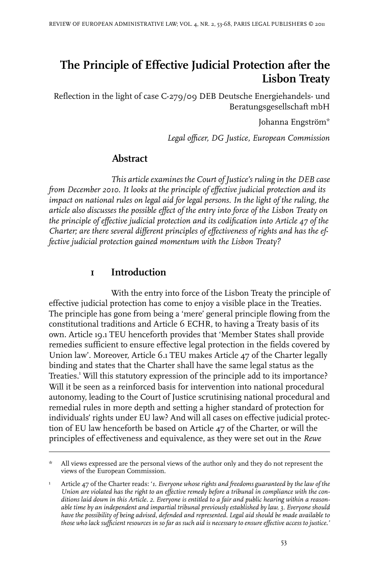# **The Principle of Effective Judicial Protection after the Lisbon Treaty**

Reflection in the light of case C-279/09 DEB Deutsche Energiehandels- und Beratungsgesellschaft mbH

Johanna Engström\*

*Legal officer, DG Justice, European Commission*

# **Abstract**

*This article examines the Court of Justice's ruling in the DEB case from December 2010. It looks at the principle of effective judicial protection and its impact on national rules on legal aid for legal persons. In the light of the ruling, the article also discusses the possible effect of the entry into force of the Lisbon Treaty on the principle of effective judicial protection and its codification into Article 47 of the Charter; are there several different principles of effectiveness of rights and has the effective judicial protection gained momentum with the Lisbon Treaty?*

#### **1 Introduction**

With the entry into force of the Lisbon Treaty the principle of effective judicial protection has come to enjoy a visible place in the Treaties. The principle has gone from being a 'mere' general principle flowing from the constitutional traditions and Article 6 ECHR, to having a Treaty basis of its own. Article 19.1 TEU henceforth provides that 'Member States shall provide remedies sufficient to ensure effective legal protection in the fields covered by Union law'. Moreover, Article 6.1 TEU makes Article 47 of the Charter legally binding and states that the Charter shall have the same legal status as the Treaties.<sup>1</sup> Will this statutory expression of the principle add to its importance? Will it be seen as a reinforced basis for intervention into national procedural autonomy, leading to the Court of Justice scrutinising national procedural and remedial rules in more depth and setting a higher standard of protection for individuals' rights under EU law? And will all cases on effective judicial protection of EU law henceforth be based on Article 47 of the Charter, or will the principles of effectiveness and equivalence, as they were set out in the *Rewe*

All views expressed are the personal views of the author only and they do not represent the views of the European Commission. \*

Article 47 of the Charter reads: '*1. Everyone whose rights and freedoms guaranteed by the law of the* Union are violated has the right to an effective remedy before a tribunal in compliance with the con-1 ditions laid down in this Article. 2. Everyone is entitled to a fair and public hearing within a reason*able time by an independent and impartial tribunal previously established by law. 3. Everyone should have the possibility of being advised, defended and represented. Legal aid should be made available to* those who lack sufficient resources in so far as such aid is necessary to ensure effective access to justice.'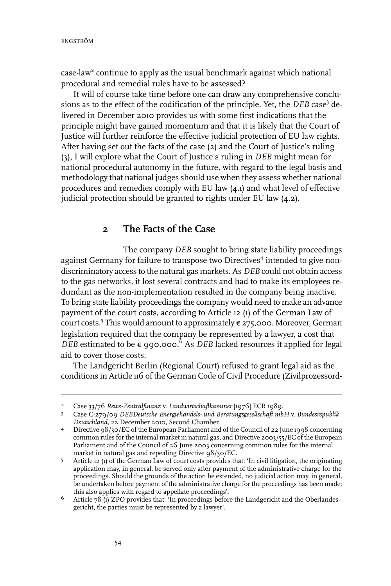case-law<sup>2</sup> continue to apply as the usual benchmark against which national procedural and remedial rules have to be assessed?

It will of course take time before one can draw any comprehensive conclusions as to the effect of the codification of the principle. Yet, the DEB case<sup>3</sup> delivered in December 2010 provides us with some first indications that the principle might have gained momentum and that it is likely that the Court of Justice will further reinforce the effective judicial protection of EU law rights. After having set out the facts of the case (2) and the Court of Justice's ruling (3), I will explore what the Court of Justice's ruling in *DEB* might mean for national procedural autonomy in the future, with regard to the legal basis and methodology that national judges should use when they assess whether national procedures and remedies comply with EU law (4.1) and what level of effective judicial protection should be granted to rights under EU law (4.2).

# **2 The Facts of the Case**

The company *DEB* sought to bring state liability proceedings against Germany for failure to transpose two Directives<sup>4</sup> intended to give nondiscriminatory access to the natural gas markets. As *DEB* could not obtain access to the gas networks, it lost several contracts and had to make its employees redundant as the non-implementation resulted in the company being inactive. To bring state liability proceedings the company would need to make an advance payment of the court costs, according to Article 12 (1) of the German Law of court costs.<sup>5</sup> This would amount to approximately € 275,000. Moreover, German legislation required that the company be represented by a lawyer, a cost that *DEB* estimated to be  $\epsilon$  990,000.<sup>6</sup> As *DEB* lacked resources it applied for legal aid to cover those costs.

The Landgericht Berlin (Regional Court) refused to grant legal aid as the conditions in Article 116 of the German Code of Civil Procedure (Zivilprozessord-

Case 33/76 *Rewe-Zentralfinanz* v. *Landwirtschaftkammer* [1976] ECR 1989. <sup>2</sup>

Case C-279/09 *DEBDeutsche Energiehandels- und Beratungsgesellschaft mbH* v. *Bundesrepublik Deutschland*, 22 December 2010, Second Chamber. 3

Directive 98/30/EC of the European Parliament and of the Council of 22 June 1998 concerning common rules forthe internal market in natural gas, and Directive 2003/55/EC of the European 4 Parliament and of the Council of 26 June 2003 concerning common rules for the internal market in natural gas and repealing Directive  $98/30/EC$ .

Article 12 (1) of the German Law of court costs provides that: 'In civil litigation, the originating application may, in general, be served only after payment of the administrative charge for the 5 proceedings. Should the grounds of the action be extended, no judicial action may, in general, be undertaken before payment of the administrative charge forthe proceedings has been made; this also applies with regard to appellate proceedings'.

 $6$  Article 78 (1) ZPO provides that: 'In proceedings before the Landgericht and the Oberlandesgericht, the parties must be represented by a lawyer'.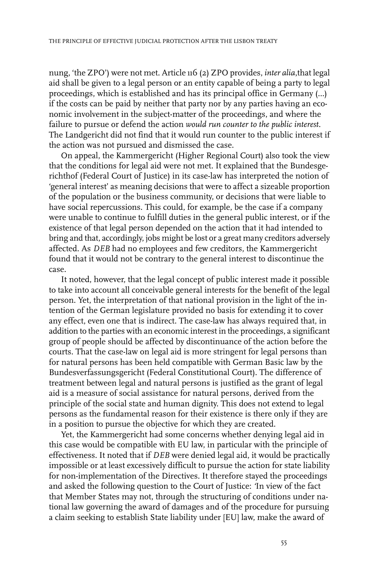nung, 'the ZPO') were not met. Article 116 (2) ZPO provides, *inter alia*,that legal aid shall be given to a legal person or an entity capable of being a party to legal proceedings, which is established and has its principal office in Germany (…) if the costs can be paid by neither that party nor by any parties having an economic involvement in the subject-matter of the proceedings, and where the failure to pursue or defend the action *would run counter to the public interest*. The Landgericht did not find that it would run counter to the public interest if the action was not pursued and dismissed the case.

On appeal, the Kammergericht (Higher Regional Court) also took the view that the conditions for legal aid were not met. It explained that the Bundesgerichthof (Federal Court of Justice) in its case-law has interpreted the notion of 'general interest' as meaning decisions that were to affect a sizeable proportion of the population or the business community, or decisions that were liable to have social repercussions. This could, for example, be the case if a company were unable to continue to fulfill duties in the general public interest, or if the existence of that legal person depended on the action that it had intended to bring and that, accordingly, jobs might be lost or a great many creditors adversely affected. As *DEB* had no employees and few creditors, the Kammergericht found that it would not be contrary to the general interest to discontinue the case.

It noted, however, that the legal concept of public interest made it possible to take into account all conceivable general interests for the benefit of the legal person. Yet, the interpretation of that national provision in the light of the intention of the German legislature provided no basis for extending it to cover any effect, even one that is indirect. The case-law has always required that, in addition to the parties with an economic interest in the proceedings, a significant group of people should be affected by discontinuance of the action before the courts. That the case-law on legal aid is more stringent for legal persons than for natural persons has been held compatible with German Basic law by the Bundesverfassungsgericht (Federal Constitutional Court). The difference of treatment between legal and natural persons is justified as the grant of legal aid is a measure of social assistance for natural persons, derived from the principle of the social state and human dignity. This does not extend to legal persons as the fundamental reason for their existence is there only if they are in a position to pursue the objective for which they are created.

Yet, the Kammergericht had some concerns whether denying legal aid in this case would be compatible with EU law, in particular with the principle of effectiveness. It noted that if *DEB* were denied legal aid, it would be practically impossible or at least excessively difficult to pursue the action for state liability for non-implementation of the Directives. It therefore stayed the proceedings and asked the following question to the Court of Justice: *'*In view of the fact that Member States may not, through the structuring of conditions under national law governing the award of damages and of the procedure for pursuing a claim seeking to establish State liability under [EU] law, make the award of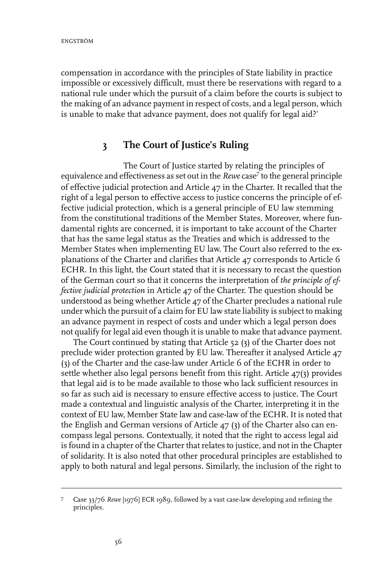compensation in accordance with the principles of State liability in practice impossible or excessively difficult, must there be reservations with regard to a national rule under which the pursuit of a claim before the courts is subject to the making of an advance payment in respect of costs, and a legal person, which is unable to make that advance payment, does not qualify for legal aid?'

#### **3 The Court of Justice's Ruling**

The Court of Justice started by relating the principles of equivalence and effectiveness as set out in the *Rewe* case<sup>7</sup> to the general principle of effective judicial protection and Article 47 in the Charter. It recalled that the right of a legal person to effective access to justice concerns the principle of effective judicial protection, which is a general principle of EU law stemming from the constitutional traditions of the Member States. Moreover, where fundamental rights are concerned, it is important to take account of the Charter that has the same legal status as the Treaties and which is addressed to the Member States when implementing EU law. The Court also referred to the explanations of the Charter and clarifies that Article 47 corresponds to Article 6 ECHR. In this light, the Court stated that it is necessary to recast the question of the German court so that it concerns the interpretation of *the principle of effective judicial protection* in Article 47 of the Charter. The question should be understood as being whether Article 47 of the Charter precludes a national rule under which the pursuit of a claim for EU law state liability is subject to making an advance payment in respect of costs and under which a legal person does not qualify for legal aid even though it is unable to make that advance payment.

The Court continued by stating that Article 52 (3) of the Charter does not preclude wider protection granted by EU law. Thereafter it analysed Article 47 (3) of the Charter and the case-law under Article 6 of the ECHR in order to settle whether also legal persons benefit from this right. Article 47(3) provides that legal aid is to be made available to those who lack sufficient resources in so far as such aid is necessary to ensure effective access to justice. The Court made a contextual and linguistic analysis of the Charter, interpreting it in the context of EU law, Member State law and case-law of the ECHR. It is noted that the English and German versions of Article 47 (3) of the Charter also can encompass legal persons. Contextually, it noted that the right to access legal aid is found in a chapter of the Charter that relates to justice, and not in the Chapter of solidarity. It is also noted that other procedural principles are established to apply to both natural and legal persons. Similarly, the inclusion of the right to

Case 33/76 *Rewe* [1976] ECR 1989, followed by a vast case-law developing and refining the principles. 7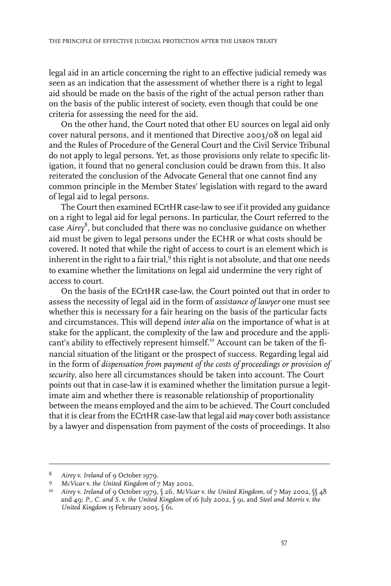legal aid in an article concerning the right to an effective judicial remedy was seen as an indication that the assessment of whether there is a right to legal aid should be made on the basis of the right of the actual person rather than on the basis of the public interest of society, even though that could be one criteria for assessing the need for the aid.

On the other hand, the Court noted that other EU sources on legal aid only cover natural persons, and it mentioned that Directive 2003/08 on legal aid and the Rules of Procedure of the General Court and the Civil Service Tribunal do not apply to legal persons. Yet, as those provisions only relate to specific litigation, it found that no general conclusion could be drawn from this. It also reiterated the conclusion of the Advocate General that one cannot find any common principle in the Member States' legislation with regard to the award of legal aid to legal persons.

The Court then examined ECrtHR case-law to see if it provided any guidance on a right to legal aid for legal persons. In particular, the Court referred to the case *Airey*<sup>8</sup>, but concluded that there was no conclusive guidance on whether aid must be given to legal persons under the ECHR or what costs should be covered. It noted that while the right of access to court is an element which is inherent in the right to a fair trial, $^9$  this right is not absolute, and that one needs to examine whether the limitations on legal aid undermine the very right of access to court.

On the basis of the ECrtHR case-law, the Court pointed out that in order to assess the necessity of legal aid in the form of *assistance of lawyer* one must see whether this is necessary for a fair hearing on the basis of the particular facts and circumstances. This will depend *inter alia* on the importance of what is at stake for the applicant, the complexity of the law and procedure and the applicant's ability to effectively represent himself.<sup>10</sup> Account can be taken of the financial situation of the litigant or the prospect of success. Regarding legal aid in the form of *dispensation from payment of the costs of proceedings or provision of security*, also here all circumstances should be taken into account. The Court points out that in case-law it is examined whether the limitation pursue a legitimate aim and whether there is reasonable relationship of proportionality between the means employed and the aim to be achieved. The Court concluded that it is clear from the ECrtHR case-law that legal aid *may* cover both assistance by a lawyer and dispensation from payment of the costs of proceedings. It also

*Airey* v. *Ireland* of 9 October 1979. <sup>8</sup>

<sup>&</sup>lt;sup>9</sup> McVicar v. the United Kingdom of 7 May 2002.

*Airey* v. *Ireland* of 9 October 1979, § 26, *McVicar* v. *the United Kingdom*, of 7 May 2002, §§ 48 10 and 49; *P., C. and S.* v. *the United Kingdom* of 16 July 2002, § 91, and *Steel and Morris* v. *the United Kingdom* 15 February 2005, § 61.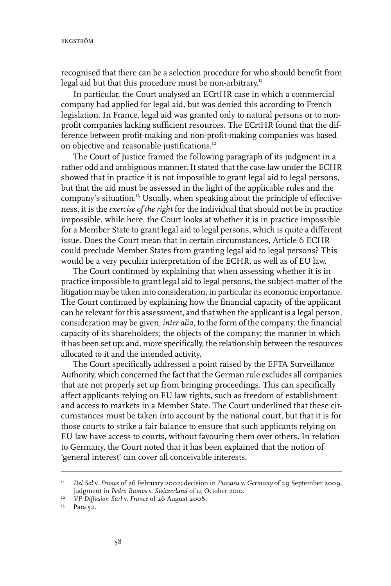recognised that there can be a selection procedure for who should benefit from legal aid but that this procedure must be non-arbitrary."

In particular, the Court analysed an ECrtHR case in which a commercial company had applied for legal aid, but was denied this according to French legislation. In France, legal aid was granted only to natural persons or to nonprofit companies lacking sufficient resources. The ECrtHR found that the difference between profit-making and non-profit-making companies was based on objective and reasonable justifications.<sup>12</sup>

The Court of Justice framed the following paragraph of its judgment in a rather odd and ambiguous manner. It stated that the case-law under the ECHR showed that in practice it is not impossible to grant legal aid to legal persons, but that the aid must be assessed in the light of the applicable rules and the company's situation.<sup>13</sup> Usually, when speaking about the principle of effectiveness, it is the *exercise of the right* for the individual that should not be in practice impossible, while here, the Court looks at whether it is in practice impossible for a Member State to grant legal aid to legal persons, which is quite a different issue. Does the Court mean that in certain circumstances, Article 6 ECHR could preclude Member States from granting legal aid to legal persons? This would be a very peculiar interpretation of the ECHR, as well as of EU law.

The Court continued by explaining that when assessing whether it is in practice impossible to grant legal aid to legal persons, the subject-matter of the litigation may be taken into consideration, in particular its economic importance. The Court continued by explaining how the financial capacity of the applicant can be relevant for this assessment, and that when the applicant is a legal person, consideration may be given, *inter alia*, to the form of the company; the financial capacity of its shareholders; the objects of the company; the manner in which it has been set up; and, more specifically, the relationship between the resources allocated to it and the intended activity.

The Court specifically addressed a point raised by the EFTA Surveillance Authority, which concerned the fact that the German rule excludes all companies that are not properly set up from bringing proceedings. This can specifically affect applicants relying on EU law rights, such as freedom of establishment and access to markets in a Member State. The Court underlined that these circumstances must be taken into account by the national court, but that it is for those courts to strike a fair balance to ensure that such applicants relying on EU law have access to courts, without favouring them over others. In relation to Germany, the Court noted that it has been explained that the notion of 'general interest' can cover all conceivable interests.

*Del Sol* v. *France* of 26 February 2002; decision in *Puscasu* v. *Germany* of 29 September 2009, judgment in *Pedro Ramos* v. *Switzerland* of 14 October 2010. 11

<sup>&</sup>lt;sup>12</sup> *VP Diffusion Sarl* v. *France* of 26 August 2008.

<sup>&</sup>lt;sup>13</sup> Para 52.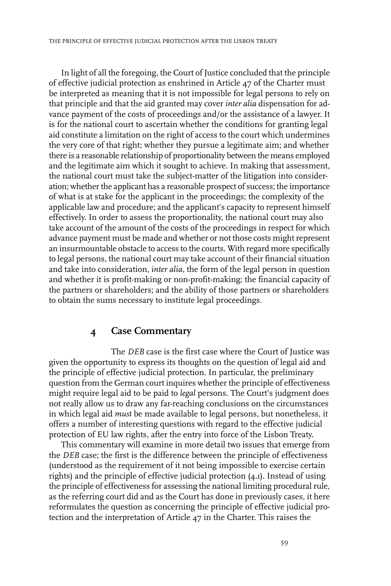In light of all the foregoing, the Court of Justice concluded that the principle of effective judicial protection as enshrined in Article 47 of the Charter must be interpreted as meaning that it is not impossible for legal persons to rely on that principle and that the aid granted may cover *inter alia* dispensation for advance payment of the costs of proceedings and/or the assistance of a lawyer. It is for the national court to ascertain whether the conditions for granting legal aid constitute a limitation on the right of access to the court which undermines the very core of that right; whether they pursue a legitimate aim; and whether there is a reasonable relationship of proportionality between the means employed and the legitimate aim which it sought to achieve. In making that assessment, the national court must take the subject-matter of the litigation into consideration; whether the applicant has a reasonable prospect of success; the importance of what is at stake for the applicant in the proceedings; the complexity of the applicable law and procedure; and the applicant's capacity to represent himself effectively. In order to assess the proportionality, the national court may also take account of the amount of the costs of the proceedings in respect for which advance payment must be made and whether or not those costs might represent an insurmountable obstacle to access to the courts. With regard more specifically to legal persons, the national court may take account of their financial situation and take into consideration, *inter alia*, the form of the legal person in question and whether it is profit-making or non-profit-making; the financial capacity of the partners or shareholders; and the ability of those partners or shareholders to obtain the sums necessary to institute legal proceedings.

### **4 Case Commentary**

The *DEB* case is the first case where the Court of Justice was given the opportunity to express its thoughts on the question of legal aid and the principle of effective judicial protection. In particular, the preliminary question from the German court inquires whether the principle of effectiveness might require legal aid to be paid to *legal* persons. The Court's judgment does not really allow us to draw any far-reaching conclusions on the circumstances in which legal aid *must* be made available to legal persons, but nonetheless, it offers a number of interesting questions with regard to the effective judicial protection of EU law rights, after the entry into force of the Lisbon Treaty.

This commentary will examine in more detail two issues that emerge from the *DEB* case; the first is the difference between the principle of effectiveness (understood as the requirement of it not being impossible to exercise certain rights) and the principle of effective judicial protection (4.1). Instead of using the principle of effectiveness for assessing the national limiting procedural rule, as the referring court did and as the Court has done in previously cases, it here reformulates the question as concerning the principle of effective judicial protection and the interpretation of Article 47 in the Charter. This raises the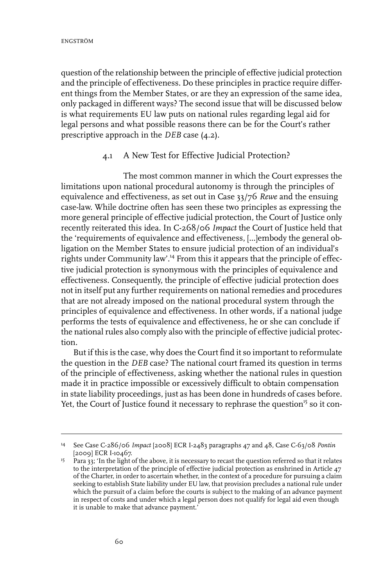question of the relationship between the principle of effective judicial protection and the principle of effectiveness. Do these principles in practice require different things from the Member States, or are they an expression of the same idea, only packaged in different ways? The second issue that will be discussed below is what requirements EU law puts on national rules regarding legal aid for legal persons and what possible reasons there can be for the Court's rather prescriptive approach in the *DEB* case (4.2).

#### 4.1 A New Test for Effective Judicial Protection?

The most common manner in which the Court expresses the limitations upon national procedural autonomy is through the principles of equivalence and effectiveness, as set out in Case 33/76 *Rewe* and the ensuing case-law. While doctrine often has seen these two principles as expressing the more general principle of effective judicial protection, the Court of Justice only recently reiterated this idea. In C-268/06 *Impact* the Court of Justice held that the 'requirements of equivalence and effectiveness, [...]embody the general obligation on the Member States to ensure judicial protection of an individual's rights under Community law'.<sup>14</sup> From this it appears that the principle of effective judicial protection is synonymous with the principles of equivalence and effectiveness. Consequently, the principle of effective judicial protection does not in itself put any further requirements on national remedies and procedures that are not already imposed on the national procedural system through the principles of equivalence and effectiveness. In other words, if a national judge performs the tests of equivalence and effectiveness, he or she can conclude if the national rules also comply also with the principle of effective judicial protection.

But if this is the case, why does the Court find it so important to reformulate the question in the *DEB* case? The national court framed its question in terms of the principle of effectiveness, asking whether the national rules in question made it in practice impossible or excessively difficult to obtain compensation in state liability proceedings, just as has been done in hundreds of cases before. Yet, the Court of Justice found it necessary to rephrase the question<sup>15</sup> so it con-

See Case C-286/06 *Impact* [2008] ECR I-2483 paragraphs 47 and 48, Case C-63/08 *Pontin* 14 [2009] ECR I-10467.

<sup>&</sup>lt;sup>15</sup> Para 33; 'In the light of the above, it is necessary to recast the question referred so that it relates to the interpretation of the principle of effective judicial protection as enshrined in Article 47 of the Charter, in order to ascertain whether, in the context of a procedure for pursuing a claim seeking to establish State liability under EU law, that provision precludes a national rule under which the pursuit of a claim before the courts is subject to the making of an advance payment in respect of costs and under which a legal person does not qualify for legal aid even though it is unable to make that advance payment.'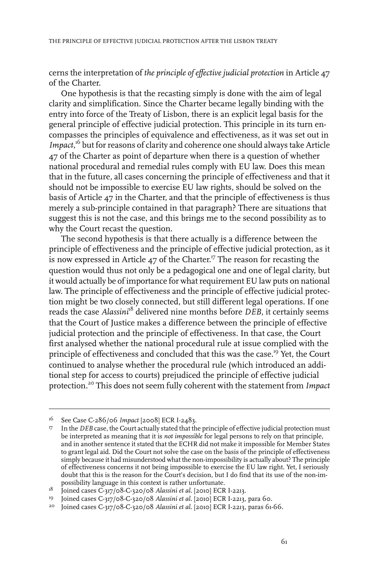cerns the interpretation of *the principle of effective judicial protection* in Article 47 of the Charter.

One hypothesis is that the recasting simply is done with the aim of legal clarity and simplification. Since the Charter became legally binding with the entry into force of the Treaty of Lisbon, there is an explicit legal basis for the general principle of effective judicial protection. This principle in its turn encompasses the principles of equivalence and effectiveness, as it was set out in Impact,<sup>16</sup> but for reasons of clarity and coherence one should always take Article 47 of the Charter as point of departure when there is a question of whether national procedural and remedial rules comply with EU law. Does this mean that in the future, all cases concerning the principle of effectiveness and that it should not be impossible to exercise EU law rights, should be solved on the basis of Article 47 in the Charter, and that the principle of effectiveness is thus merely a sub-principle contained in that paragraph? There are situations that suggest this is not the case, and this brings me to the second possibility as to why the Court recast the question.

The second hypothesis is that there actually is a difference between the principle of effectiveness and the principle of effective judicial protection, as it is now expressed in Article 47 of the Charter.<sup>17</sup> The reason for recasting the question would thus not only be a pedagogical one and one of legal clarity, but it would actually be of importance for what requirement EU law puts on national law. The principle of effectiveness and the principle of effective judicial protection might be two closely connected, but still different legal operations. If one reads the case *Alassini*<sup>18</sup> delivered nine months before *DEB*, it certainly seems that the Court of Justice makes a difference between the principle of effective judicial protection and the principle of effectiveness. In that case, the Court first analysed whether the national procedural rule at issue complied with the principle of effectiveness and concluded that this was the case.<sup>19</sup> Yet, the Court continued to analyse whether the procedural rule (which introduced an additional step for access to courts) prejudiced the principle of effective judicial protection.<sup>20</sup> This does not seem fully coherent with the statement from *Impact*

<sup>&</sup>lt;sup>16</sup> See Case C-286/06 *Impact* [2008] ECR I-2483.

<sup>&</sup>lt;sup>17</sup> In the *DEB* case, the Court actually stated that the principle of effective judicial protection must be interpreted as meaning that it is *not impossible* for legal persons to rely on that principle, and in another sentence it stated that the ECHR did not make it impossible for Member States to grant legal aid. Did the Court not solve the case on the basis of the principle of effectiveness simply because it had misunderstood what the non-impossibility is actually about? The principle of effectiveness concerns it not being impossible to exercise the EU law right. Yet, I seriously doubt that this is the reason for the Court's decision, but I do find that its use of the non-impossibility language in this context is rather unfortunate.

<sup>&</sup>lt;sup>18</sup> Joined cases C-317/08-C-320/08 *Alassini et al.* [2010] ECR I-2213.

<sup>&</sup>lt;sup>19</sup> Joined cases C-317/08-C-320/08 *Alassini et al.* [2010] ECR I-2213, para 60.

<sup>&</sup>lt;sup>20</sup> Joined cases C-317/08-C-320/08 *Alassini et al.* [2010] ECR I-2213, paras 61-66.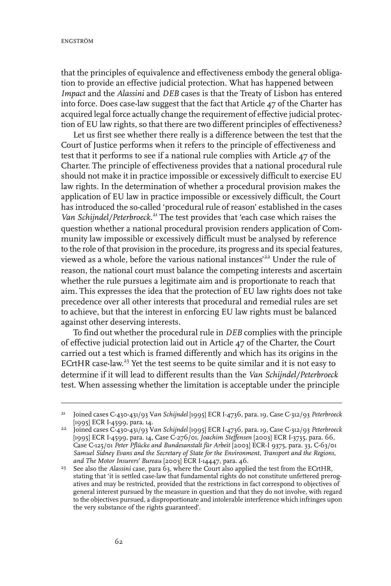that the principles of equivalence and effectiveness embody the general obligation to provide an effective judicial protection. What has happened between *Impact* and the *Alassini* and *DEB* cases is that the Treaty of Lisbon has entered into force. Does case-law suggest that the fact that Article 47 of the Charter has acquired legal force actually change the requirement of effective judicial protection of EU law rights, so that there are two different principles of effectiveness?

Let us first see whether there really is a difference between the test that the Court of Justice performs when it refers to the principle of effectiveness and test that it performs to see if a national rule complies with Article 47 of the Charter. The principle of effectiveness provides that a national procedural rule should not make it in practice impossible or excessively difficult to exercise EU law rights. In the determination of whether a procedural provision makes the application of EU law in practice impossible or excessively difficult, the Court has introduced the so-called 'procedural rule of reason' established in the cases *Van Schijndel/Peterbroeck*. <sup>21</sup> The test provides that 'each case which raises the question whether a national procedural provision renders application of Community law impossible or excessively difficult must be analysed by reference to the role of that provision in the procedure, its progress and its special features, viewed as a whole, before the various national instances'<sup>22</sup> Under the rule of reason, the national court must balance the competing interests and ascertain whether the rule pursues a legitimate aim and is proportionate to reach that aim. This expresses the idea that the protection of EU law rights does not take precedence over all other interests that procedural and remedial rules are set to achieve, but that the interest in enforcing EU law rights must be balanced against other deserving interests.

To find out whether the procedural rule in *DEB* complies with the principle of effective judicial protection laid out in Article 47 of the Charter, the Court carried out a test which is framed differently and which has its origins in the ECrtHR case-law. <sup>23</sup> Yet the test seems to be quite similar and it is not easy to determine if it will lead to different results than the *Van Schijndel/Peterbroeck* test. When assessing whether the limitation is acceptable under the principle

Joined cases C-430-431/93 V*an Schijndel* [1995] ECR I-4736, para. 19, Case C-312/93 *Peterbroeck* [1995] ECR I-4599, para. 14. 21

Joined cases C-430-431/93 V*an Schijndel* [1995] ECR I-4736, para. 19, Case C-312/93 *Peterbroeck* [1995] ECR I-4599, para. 14, Case C-276/01, *Joachim Steffensen* [2003] ECR I-3735, para. 66, 22 Case C-125/01 *Peter Pflücke and Bundesanstalt für Arbeit* [2003] ECR-I 9375, para. 33, C-63/01 *Samuel Sidney Evans and the Secretary of State for the Environment, Transport and the Regions, and The Motor Insurers' Bureau* [2003] ECR I-14447, para. 46.

<sup>&</sup>lt;sup>23</sup> See also the Alassini case, para 63, where the Court also applied the test from the ECrtHR, stating that 'it is settled case-law that fundamental rights do not constitute unfettered prerogatives and may be restricted, provided that the restrictions in fact correspond to objectives of general interest pursued by the measure in question and that they do not involve, with regard to the objectives pursued, a disproportionate and intolerable interference which infringes upon the very substance of the rights guaranteed'.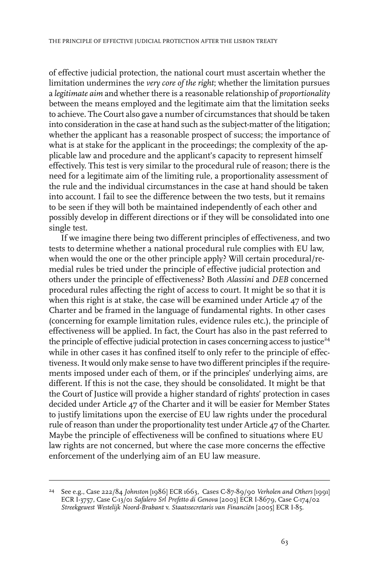of effective judicial protection, the national court must ascertain whether the limitation undermines the *very core of the right*; whether the limitation pursues a *legitimate aim* and whether there is a reasonable relationship of *proportionality* between the means employed and the legitimate aim that the limitation seeks to achieve. The Court also gave a number of circumstances that should be taken into consideration in the case at hand such as the subject-matter of the litigation; whether the applicant has a reasonable prospect of success; the importance of what is at stake for the applicant in the proceedings; the complexity of the applicable law and procedure and the applicant's capacity to represent himself effectively. This test is very similar to the procedural rule of reason; there is the need for a legitimate aim of the limiting rule, a proportionality assessment of the rule and the individual circumstances in the case at hand should be taken into account. I fail to see the difference between the two tests, but it remains to be seen if they will both be maintained independently of each other and possibly develop in different directions or if they will be consolidated into one single test.

If we imagine there being two different principles of effectiveness, and two tests to determine whether a national procedural rule complies with EU law, when would the one or the other principle apply? Will certain procedural/remedial rules be tried under the principle of effective judicial protection and others under the principle of effectiveness? Both *Alassini* and *DEB* concerned procedural rules affecting the right of access to court. It might be so that it is when this right is at stake, the case will be examined under Article 47 of the Charter and be framed in the language of fundamental rights. In other cases (concerning for example limitation rules, evidence rules etc.), the principle of effectiveness will be applied. In fact, the Court has also in the past referred to the principle of effective judicial protection in cases concerning access to justice<sup>24</sup> while in other cases it has confined itself to only refer to the principle of effectiveness.It would only make sense to have two different principles if the requirements imposed under each of them, or if the principles' underlying aims, are different. If this is not the case, they should be consolidated. It might be that the Court of Justice will provide a higher standard of rights' protection in cases decided under Article 47 of the Charter and it will be easier for Member States to justify limitations upon the exercise of EU law rights under the procedural rule of reason than under the proportionality test under Article  $47$  of the Charter. Maybe the principle of effectiveness will be confined to situations where EU law rights are not concerned, but where the case more concerns the effective enforcement of the underlying aim of an EU law measure.

See e.g., Case 222/84 *Johnston* [1986] ECR 1663, Cases C-87-89/90 *Verholen and Others* [1991] ECR I-3757, Case C-13/01 *Safalero Srl Prefetto di Genova* [2003] ECR I-8679, Case C-174/02 *Streekgewest Westelijk Noord-Brabant* v. *Staatssecretaris van Financiën* [2005] ECR I-85. 24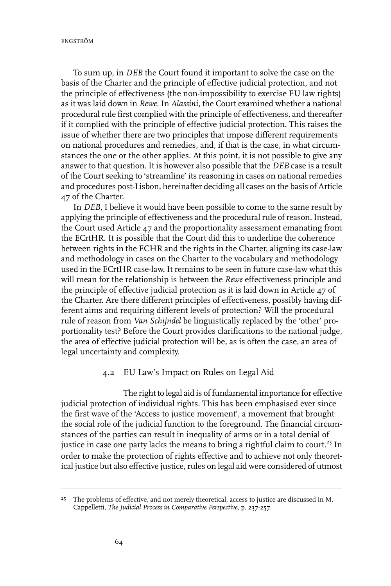To sum up, in *DEB* the Court found it important to solve the case on the basis of the Charter and the principle of effective judicial protection, and not the principle of effectiveness (the non-impossibility to exercise EU law rights) as it was laid down in *Rewe*. In *Alassini*, the Court examined whether a national procedural rule first complied with the principle of effectiveness, and thereafter if it complied with the principle of effective judicial protection. This raises the issue of whether there are two principles that impose different requirements on national procedures and remedies, and, if that is the case, in what circumstances the one or the other applies. At this point, it is not possible to give any answer to that question. It is however also possible that the *DEB* case is a result of the Court seeking to 'streamline' its reasoning in cases on national remedies and procedures post-Lisbon, hereinafter deciding all cases on the basis of Article 47 of the Charter.

In *DEB*, I believe it would have been possible to come to the same result by applying the principle of effectiveness and the procedural rule of reason. Instead, the Court used Article 47 and the proportionality assessment emanating from the ECrtHR. It is possible that the Court did this to underline the coherence between rights in the ECHR and the rights in the Charter, aligning its case-law and methodology in cases on the Charter to the vocabulary and methodology used in the ECrtHR case-law. It remains to be seen in future case-law what this will mean for the relationship is between the *Rewe* effectiveness principle and the principle of effective judicial protection as it is laid down in Article 47 of the Charter. Are there different principles of effectiveness, possibly having different aims and requiring different levels of protection? Will the procedural rule of reason from *Van Schijndel* be linguistically replaced by the 'other' proportionality test? Before the Court provides clarifications to the national judge, the area of effective judicial protection will be, as is often the case, an area of legal uncertainty and complexity.

#### 4.2 EU Law's Impact on Rules on Legal Aid

The right to legal aid is of fundamental importance for effective judicial protection of individual rights. This has been emphasised ever since the first wave of the 'Access to justice movement', a movement that brought the social role of the judicial function to the foreground. The financial circumstances of the parties can result in inequality of arms or in a total denial of justice in case one party lacks the means to bring a rightful claim to court.<sup>25</sup> In order to make the protection of rights effective and to achieve not only theoretical justice but also effective justice, rules on legal aid were considered of utmost

<sup>&</sup>lt;sup>25</sup> The problems of effective, and not merely theoretical, access to justice are discussed in M. Cappelletti, *The Judicial Process in Comparative Perspective*, p. 237-257.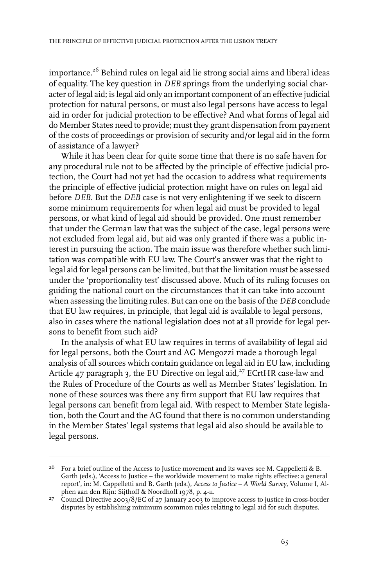importance.<sup>26</sup> Behind rules on legal aid lie strong social aims and liberal ideas of equality. The key question in *DEB* springs from the underlying social character of legal aid; is legal aid only an important component of an effective judicial protection for natural persons, or must also legal persons have access to legal aid in order for judicial protection to be effective? And what forms of legal aid do Member States need to provide; must they grant dispensation from payment of the costs of proceedings or provision of security and/or legal aid in the form of assistance of a lawyer?

While it has been clear for quite some time that there is no safe haven for any procedural rule not to be affected by the principle of effective judicial protection, the Court had not yet had the occasion to address what requirements the principle of effective judicial protection might have on rules on legal aid before *DEB*. But the *DEB* case is not very enlightening if we seek to discern some minimum requirements for when legal aid must be provided to legal persons, or what kind of legal aid should be provided. One must remember that under the German law that was the subject of the case, legal persons were not excluded from legal aid, but aid was only granted if there was a public interest in pursuing the action. The main issue was therefore whether such limitation was compatible with EU law. The Court's answer was that the right to legal aid for legal persons can be limited, but that the limitation must be assessed under the 'proportionality test' discussed above. Much of its ruling focuses on guiding the national court on the circumstances that it can take into account when assessing the limiting rules. But can one on the basis of the *DEB* conclude that EU law requires, in principle, that legal aid is available to legal persons, also in cases where the national legislation does not at all provide for legal persons to benefit from such aid?

In the analysis of what EU law requires in terms of availability of legal aid for legal persons, both the Court and AG Mengozzi made a thorough legal analysis of all sources which contain guidance on legal aid in EU law, including Article 47 paragraph 3, the EU Directive on legal aid, $27$  ECrtHR case-law and the Rules of Procedure of the Courts as well as Member States' legislation. In none of these sources was there any firm support that EU law requires that legal persons can benefit from legal aid. With respect to Member State legislation, both the Court and the AG found that there is no common understanding in the Member States' legal systems that legal aid also should be available to legal persons.

 $^{26}$  For a brief outline of the Access to Justice movement and its waves see M. Cappelletti & B. Garth (eds.), 'Access to Justice – the worldwide movement to make rights effective: a general report', in: M. Cappelletti and B. Garth (eds.), *Access to Justice – A World Survey*, Volume I, Alphen aan den Rijn: Sijthoff & Noordhoff 1978, p. 4-11.

<sup>&</sup>lt;sup>27</sup> Council Directive 2003/8/EC of 27 January 2003 to improve access to justice in cross-border disputes by establishing minimum scommon rules relating to legal aid for such disputes.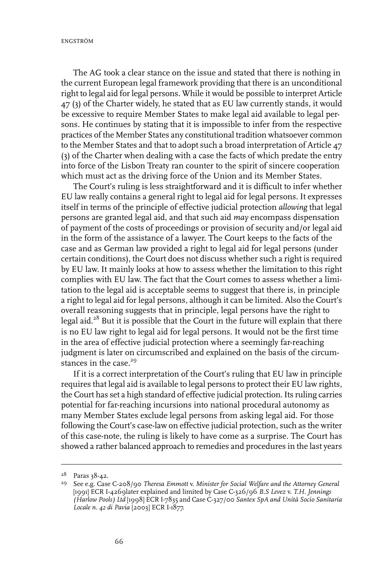The AG took a clear stance on the issue and stated that there is nothing in the current European legal framework providing that there is an unconditional right to legal aid for legal persons. While it would be possible to interpret Article 47 (3) of the Charter widely, he stated that as EU law currently stands, it would be excessive to require Member States to make legal aid available to legal persons. He continues by stating that it is impossible to infer from the respective practices of the Member States any constitutional tradition whatsoever common to the Member States and that to adopt such a broad interpretation of Article 47 (3) of the Charter when dealing with a case the facts of which predate the entry into force of the Lisbon Treaty ran counter to the spirit of sincere cooperation which must act as the driving force of the Union and its Member States.

The Court's ruling is less straightforward and it is difficult to infer whether EU law really contains a general right to legal aid for legal persons. It expresses itself in terms of the principle of effective judicial protection *allowing* that legal persons are granted legal aid, and that such aid *may* encompass dispensation of payment of the costs of proceedings or provision of security and/or legal aid in the form of the assistance of a lawyer. The Court keeps to the facts of the case and as German law provided a right to legal aid for legal persons (under certain conditions), the Court does not discuss whether such a right is required by EU law. It mainly looks at how to assess whether the limitation to this right complies with EU law. The fact that the Court comes to assess whether a limitation to the legal aid is acceptable seems to suggest that there is, in principle a right to legal aid for legal persons, although it can be limited. Also the Court's overall reasoning suggests that in principle, legal persons have the right to legal aid.<sup>28</sup> But it is possible that the Court in the future will explain that there is no EU law right to legal aid for legal persons. It would not be the first time in the area of effective judicial protection where a seemingly far-reaching judgment is later on circumscribed and explained on the basis of the circumstances in the case. $29$ 

If it is a correct interpretation of the Court's ruling that EU law in principle requires that legal aid is available to legal persons to protect their EU law rights, the Court has set a high standard of effective judicial protection. Its ruling carries potential for far-reaching incursions into national procedural autonomy as many Member States exclude legal persons from asking legal aid. For those following the Court's case-law on effective judicial protection, such as the writer of this case-note, the ruling is likely to have come as a surprise. The Court has showed a rather balanced approach to remedies and procedures in the last years

 $28$  Paras 38-42.

See e.g. Case C-208/90 *Theresa Emmott* v. *Minister for Social Welfare and the Attorney General* 29 [1991] ECR I-4269later explained and limited by Case C-326/96 *B.S Levez* v. *T.H. Jennings (Harlow Pools) Ltd* [1998] ECR I-7835 and Case C-327/00 *Santex SpA and Unità Socio Sanitaria Locale n. 42 di Pavia* [2003] ECR I-1877.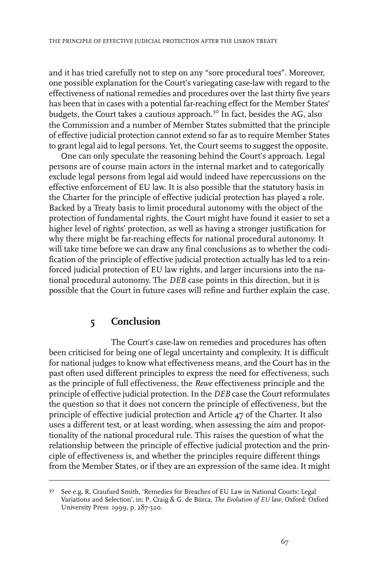and it has tried carefully not to step on any "sore procedural toes". Moreover, one possible explanation for the Court's variegating case-law with regard to the effectiveness of national remedies and procedures over the last thirty five years has been that in cases with a potential far-reaching effect for the Member States' budgets, the Court takes a cautious approach.<sup>30</sup> In fact, besides the AG, also the Commission and a number of Member States submitted that the principle of effective judicial protection cannot extend so far as to require Member States to grant legal aid to legal persons. Yet, the Court seems to suggest the opposite.

One can only speculate the reasoning behind the Court's approach. Legal persons are of course main actors in the internal market and to categorically exclude legal persons from legal aid would indeed have repercussions on the effective enforcement of EU law. It is also possible that the statutory basis in the Charter for the principle of effective judicial protection has played a role. Backed by a Treaty basis to limit procedural autonomy with the object of the protection of fundamental rights, the Court might have found it easier to set a higher level of rights' protection, as well as having a stronger justification for why there might be far-reaching effects for national procedural autonomy. It will take time before we can draw any final conclusions as to whether the codification of the principle of effective judicial protection actually has led to a reinforced judicial protection of EU law rights, and larger incursions into the national procedural autonomy. The *DEB* case points in this direction, but it is possible that the Court in future cases will refine and further explain the case.

# **5 Conclusion**

The Court's case-law on remedies and procedures has often been criticised for being one of legal uncertainty and complexity. It is difficult for national judges to know what effectiveness means, and the Court has in the past often used different principles to express the need for effectiveness, such as the principle of full effectiveness, the *Rewe* effectiveness principle and the principle of effective judicial protection. In the *DEB* case the Court reformulates the question so that it does not concern the principle of effectiveness, but the principle of effective judicial protection and Article 47 of the Charter. It also uses a different test, or at least wording, when assessing the aim and proportionality of the national procedural rule. This raises the question of what the relationship between the principle of effective judicial protection and the principle of effectiveness is, and whether the principles require different things from the Member States, or if they are an expression of the same idea. It might

<sup>&</sup>lt;sup>30</sup> See e.g. R. Craufurd Smith, 'Remedies for Breaches of EU Law in National Courts: Legal Variations and Selection', in: P. Craig & G. de Búrca, *The Evolution of EU law*, Oxford: Oxford University Press 1999, p. 287-320.